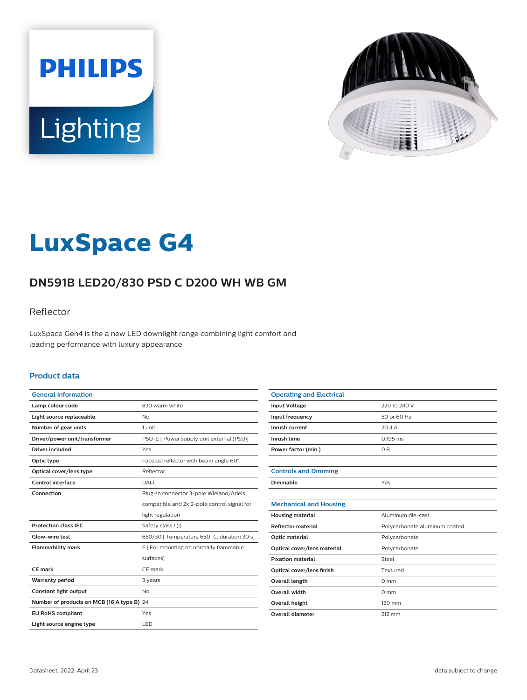



# **LuxSpace G4**

# **DN591B LED20/830 PSD C D200 WH WB GM**

### Reflector

LuxSpace Gen4 is the a new LED downlight range combining light comfort and leading performance with luxury appearance

#### **Product data**

| <b>General Information</b>                 |                                             |
|--------------------------------------------|---------------------------------------------|
| Lamp colour code                           | 830 warm white                              |
| Light source replaceable                   | No                                          |
| Number of gear units                       | 1 unit                                      |
| Driver/power unit/transformer              | PSU-E [ Power supply unit external (PSU)]   |
| Driver included                            | Yes                                         |
| Optic type                                 | Faceted reflector with beam angle 60°       |
| Optical cover/lens type                    | Reflector                                   |
| Control interface                          | DALI                                        |
| Connection                                 | Plug-in connector 3-pole Wieland/Adels      |
|                                            | compatible and 2x 2-pole control signal for |
|                                            | light regulation                            |
| <b>Protection class IEC</b>                | Safety class I (I)                          |
| Glow-wire test                             | 650/30   Temperature 650 °C, duration 30 s] |
| <b>Flammability mark</b>                   | F [ For mounting on normally flammable      |
|                                            | surfaces]                                   |
| CE mark                                    | CE mark                                     |
| <b>Warranty period</b>                     | 3 years                                     |
| Constant light output                      | No                                          |
| Number of products on MCB (16 A type B) 24 |                                             |
| <b>EU RoHS compliant</b>                   | Yes                                         |
| Light source engine type                   | <b>LED</b>                                  |

| <b>Operating and Electrical</b> |                               |
|---------------------------------|-------------------------------|
| <b>Input Voltage</b>            | 220 to 240 V                  |
| Input frequency                 | 50 or 60 Hz                   |
| Inrush current                  | 20.4A                         |
| Inrush time                     | $0.195$ ms                    |
| Power factor (min.)             | 0.9                           |
|                                 |                               |
| <b>Controls and Dimming</b>     |                               |
| Dimmable                        | Yes                           |
|                                 |                               |
| <b>Mechanical and Housing</b>   |                               |
| <b>Housing material</b>         | Aluminum die-cast             |
| <b>Reflector material</b>       | Polycarbonate aluminum coated |
| Optic material                  | Polycarbonate                 |
| Optical cover/lens material     | Polycarbonate                 |
| <b>Fixation material</b>        | Steel                         |
| Optical cover/lens finish       | Textured                      |
| Overall length                  | $0 \text{ mm}$                |
| Overall width                   | $0 \text{ mm}$                |
| Overall height                  | 130 mm                        |
| <b>Overall diameter</b>         | 212 mm                        |
|                                 |                               |